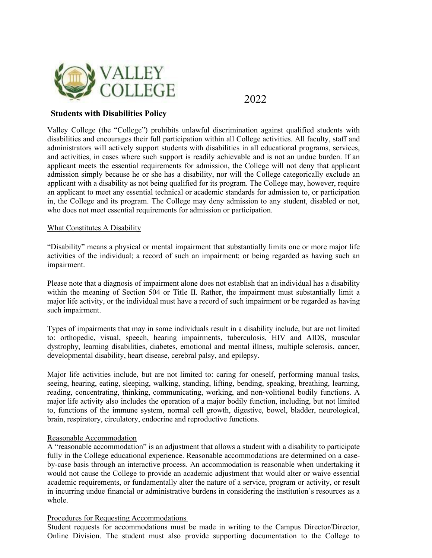

2022

## **Students with Disabilities Policy**

Valley College (the "College") prohibits unlawful discrimination against qualified students with disabilities and encourages their full participation within all College activities. All faculty, staff and administrators will actively support students with disabilities in all educational programs, services, and activities, in cases where such support is readily achievable and is not an undue burden. If an applicant meets the essential requirements for admission, the College will not deny that applicant admission simply because he or she has a disability, nor will the College categorically exclude an applicant with a disability as not being qualified for its program. The College may, however, require an applicant to meet any essential technical or academic standards for admission to, or participation in, the College and its program. The College may deny admission to any student, disabled or not, who does not meet essential requirements for admission or participation.

## What Constitutes A Disability

"Disability" means a physical or mental impairment that substantially limits one or more major life activities of the individual; a record of such an impairment; or being regarded as having such an impairment.

Please note that a diagnosis of impairment alone does not establish that an individual has a disability within the meaning of Section 504 or Title II. Rather, the impairment must substantially limit a major life activity, or the individual must have a record of such impairment or be regarded as having such impairment.

Types of impairments that may in some individuals result in a disability include, but are not limited to: orthopedic, visual, speech, hearing impairments, tuberculosis, HIV and AIDS, muscular dystrophy, learning disabilities, diabetes, emotional and mental illness, multiple sclerosis, cancer, developmental disability, heart disease, cerebral palsy, and epilepsy.

Major life activities include, but are not limited to: caring for oneself, performing manual tasks, seeing, hearing, eating, sleeping, walking, standing, lifting, bending, speaking, breathing, learning, reading, concentrating, thinking, communicating, working, and non‐volitional bodily functions. A major life activity also includes the operation of a major bodily function, including, but not limited to, functions of the immune system, normal cell growth, digestive, bowel, bladder, neurological, brain, respiratory, circulatory, endocrine and reproductive functions.

## Reasonable Accommodation

A "reasonable accommodation" is an adjustment that allows a student with a disability to participate fully in the College educational experience. Reasonable accommodations are determined on a caseby-case basis through an interactive process. An accommodation is reasonable when undertaking it would not cause the College to provide an academic adjustment that would alter or waive essential academic requirements, or fundamentally alter the nature of a service, program or activity, or result in incurring undue financial or administrative burdens in considering the institution's resources as a whole.

## Procedures for Requesting Accommodations

Student requests for accommodations must be made in writing to the Campus Director/Director, Online Division. The student must also provide supporting documentation to the College to